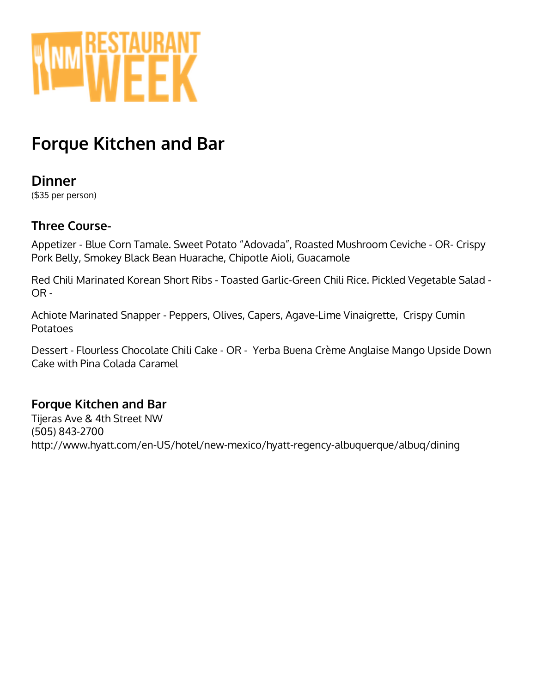

# **Forque Kitchen and Bar**

## **Dinner**

(\$35 per person)

### **Three Course-**

Appetizer - Blue Corn Tamale. Sweet Potato "Adovada", Roasted Mushroom Ceviche - OR- Crispy Pork Belly, Smokey Black Bean Huarache, Chipotle Aioli, Guacamole

Red Chili Marinated Korean Short Ribs - Toasted Garlic-Green Chili Rice. Pickled Vegetable Salad - OR -

Achiote Marinated Snapper - Peppers, Olives, Capers, Agave-Lime Vinaigrette, Crispy Cumin Potatoes

Dessert - Flourless Chocolate Chili Cake - OR - Yerba Buena Crème Anglaise Mango Upside Down Cake with Pina Colada Caramel

### **Forque Kitchen and Bar**

Tijeras Ave & 4th Street NW (505) 843-2700 http://www.hyatt.com/en-US/hotel/new-mexico/hyatt-regency-albuquerque/albuq/dining